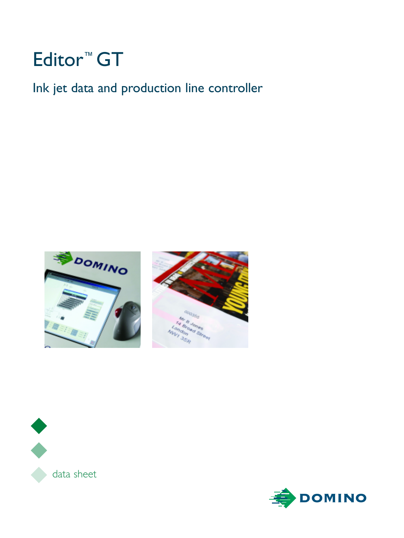# Editor™ GT

Ink jet data and production line controller







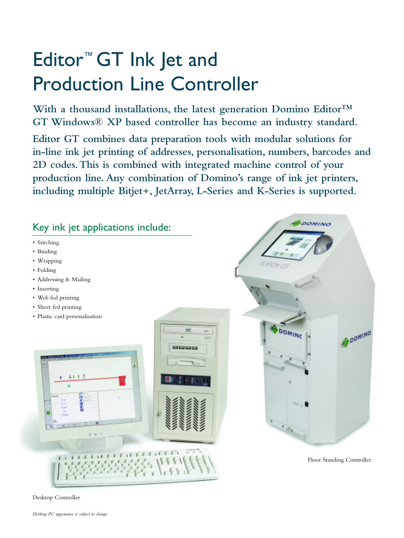# Editor™ GT Ink Jet and Production Line Controller

**With a thousand installations, the latest generation Domino Editor™ GT Windows® XP based controller has become an industry standard.**

**Editor GT combines data preparation tools with modular solutions for in-line ink jet printing of addresses, personalisation, numbers, barcodes and 2D codes.This is combined with integrated machine control of your production line.Any combination of Domino's range of ink jet printers, including multiple Bitjet+, JetArray, L-Series and K-Series is supported.**



Desktop Controller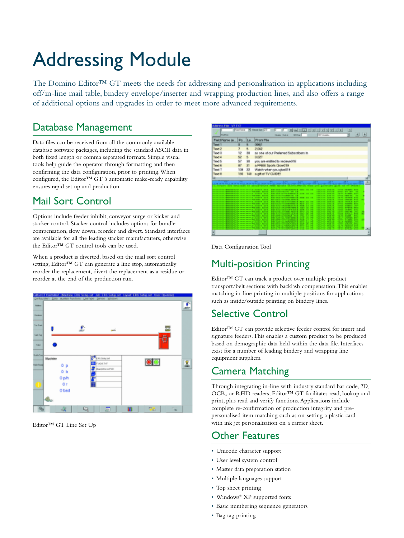# Addressing Module

The Domino Editor™ GT meets the needs for addressing and personalisation in applications including off/in-line mail table, bindery envelope/inserter and wrapping production lines, and also offers a range of additional options and upgrades in order to meet more advanced requirements.

#### Database Management

Data files can be received from all the commonly available database software packages, including the standard ASCII data in both fixed length or comma separated formats. Simple visual tools help guide the operator through formatting and then confirming the data configuration, prior to printing.When configured, the Editor™ GT 's automatic make-ready capability ensures rapid set up and production.

## Mail Sort Control

Options include feeder inhibit, conveyor surge or kicker and stacker control. Stacker control includes options for bundle compensation, slow down, reorder and divert. Standard interfaces are available for all the leading stacker manufacturers, otherwise the Editor™ GT control tools can be used.

When a product is diverted, based on the mail sort control setting, Editor™ GT can generate a line stop, automatically reorder the replacement, divert the replacement as a residue or reorder at the end of the production run.



Editor™ GT Line Set Up

|        | <b>Identify File NV TXT</b>                                                                                                                                                                                                              |     |                                                                                      |                                                          |                                                                                   |              |        |                              |                                                        |                  |                              |                                                          |                     |  |
|--------|------------------------------------------------------------------------------------------------------------------------------------------------------------------------------------------------------------------------------------------|-----|--------------------------------------------------------------------------------------|----------------------------------------------------------|-----------------------------------------------------------------------------------|--------------|--------|------------------------------|--------------------------------------------------------|------------------|------------------------------|----------------------------------------------------------|---------------------|--|
|        |                                                                                                                                                                                                                                          |     |                                                                                      | Fontiana H Passadan L-5                                  |                                                                                   |              | $\sim$ |                              |                                                        |                  |                              | 회                                                        |                     |  |
|        | <b>BigStar</b>                                                                                                                                                                                                                           |     |                                                                                      |                                                          | <b>Healer</b> Each is                                                             | <b>SEXON</b> |        |                              | H. Yankin                                              |                  |                              |                                                          |                     |  |
|        | Field Name (e., Po., Le., From File                                                                                                                                                                                                      |     |                                                                                      |                                                          |                                                                                   |              |        |                              |                                                        |                  |                              |                                                          |                     |  |
| Taul 1 |                                                                                                                                                                                                                                          |     |                                                                                      | <b>CONT</b>                                              |                                                                                   |              |        |                              |                                                        |                  |                              |                                                          |                     |  |
| Taxi 2 |                                                                                                                                                                                                                                          |     |                                                                                      | 2.042                                                    |                                                                                   |              |        |                              |                                                        |                  |                              |                                                          |                     |  |
| Text 8 |                                                                                                                                                                                                                                          | 12  | 38                                                                                   | as one of our Prelersed Subscribers in                   |                                                                                   |              |        |                              |                                                        |                  |                              |                                                          |                     |  |
|        |                                                                                                                                                                                                                                          | 52  | B.                                                                                   |                                                          |                                                                                   |              |        |                              |                                                        |                  |                              |                                                          |                     |  |
| Text 4 |                                                                                                                                                                                                                                          |     |                                                                                      | 0.027                                                    |                                                                                   |              |        |                              |                                                        |                  |                              |                                                          |                     |  |
| Text 5 |                                                                                                                                                                                                                                          | 57  | 90                                                                                   | you are entitled to recieveOffi-                         |                                                                                   |              |        |                              |                                                        |                  |                              |                                                          |                     |  |
| Twat 6 |                                                                                                                                                                                                                                          | WP. | 21                                                                                   | a FFEE Sports Glow219                                    |                                                                                   |              |        |                              |                                                        |                  |                              |                                                          |                     |  |
| Twal?  |                                                                                                                                                                                                                                          | 108 | 22                                                                                   | Watch when you give@19                                   |                                                                                   |              |        |                              |                                                        |                  |                              |                                                          |                     |  |
| Tayd B |                                                                                                                                                                                                                                          | 130 | $140^\circ$                                                                          | a pit of TV GUDE!                                        |                                                                                   |              |        |                              |                                                        |                  |                              |                                                          |                     |  |
|        |                                                                                                                                                                                                                                          |     |                                                                                      |                                                          |                                                                                   |              |        |                              |                                                        |                  |                              |                                                          |                     |  |
|        | sta tarte identa ante identale refere identifica para reiden somerfilide somerfilide somerfilide som antillide sta tartificies sam<br>3.00 per son senitled in second-Cds PHIX Sposia Clientificate when you giventific gift of TV CVIVI |     |                                                                                      |                                                          | <b>BALLINA COURSE ENGINEER SIZE ON TAX</b>                                        |              |        |                              | 111-111-12 MATLER                                      |                  |                              | <b>ATOM SERIES BAY</b>                                   |                     |  |
|        | 122221122290022871111111111112.2027 222                                                                                                                                                                                                  |     |                                                                                      |                                                          | <b>BALLINGTON-TV ART AR</b><br>Basilia la PRINGARIE SITE DE 15                    |              |        |                              | <b>LEASED WILES</b><br>111-111 W111                    |                  |                              | area we are as<br>1477 91891 977                         |                     |  |
|        | 1010111111000010711111111111111007 001                                                                                                                                                                                                   |     |                                                                                      |                                                          | <b>BATE-HEYTHAMETER LE</b><br><b>BALLAST INTERFERIER AR FREE DE 15</b>            |              |        |                              | <b>LEASEN MELTING</b><br>115-115-1 Ward Rd.            |                  |                              | <b>EXHIBITION CONTINUES.</b><br><b>EATH GETTING STAR</b> | . .                 |  |
|        | <b>CALLAGE A PRODUCTIVE FOR FROM THE ORD. ADDRESS</b>                                                                                                                                                                                    |     |                                                                                      |                                                          | <b>By LEVIS CONTRACTOR</b>                                                        |              |        |                              | <b>SEARCH ENGIN-</b>                                   |                  |                              | <b>EXPERIMENT PARK</b>                                   |                     |  |
|        | <b>1999年在北京北京大学管理院院委会副会长中华大学大学大学大学、教授、新闻会、美术学校、</b>                                                                                                                                                                                      |     |                                                                                      |                                                          | <b>BALLARY CARDIOGRAPH BAY 20 10</b><br><b>BASELINE PROPERTY AND SEE THAT ALL</b> |              |        | $\sim$                       | <b>SEARCH MOLAN.</b><br><b>SEARCH WEILE</b>            |                  |                              | <b>TEEN INVENTIONS</b><br><b>ATOM RAINER BOX</b>         |                     |  |
|        | 2012年12月22日,曾朝阳曾曾朝江安平平时的中平平时的天主,是北京全中,1930年。<br><b>1969年在北京大学大学的社会主义和法院中国的地方主义和地方的国家出版社,其他社会</b>                                                                                                                                         |     |                                                                                      |                                                          | <b>BALLINGTONICARDSALE PRE LA</b><br><b>BASELINESS SUPPLYMOUS AND LOCATED</b>     |              |        | $\mathbf{r}$<br>$\mathbf{r}$ | <b>EXAMINE MELLER</b><br><b>SEARCH MELLE</b>           |                  |                              | <b>EXAM SERVICE JOES</b><br><b>LINA STRID MILL</b>       |                     |  |
|        | The Terms of the Party of County of the United States                                                                                                                                                                                    |     |                                                                                      |                                                          | <b>BALLAST CRIPPLE FOR STREET</b><br>使えずものをもえがい時間上を低さされ、時間で                       |              |        | $\sim$<br>$\mathbf{r}$       | <b>SEARCH MELLA</b><br><b><i>EXAMPLE MALES</i></b>     |                  | <b>TOWN</b><br>ALC: YES      | <b><i>STATISTICS</i></b><br><b>STATISTICS</b>            | <b>STATE</b><br>200 |  |
|        |                                                                                                                                                                                                                                          |     |                                                                                      | <b>自动设计学校,FUX R R M M R R M M M M L LINEST _ A GITCH</b> | 使生きたいようでなかまかももんだっか 日本少<br>■生活上的中心生产检查人员用 防止量                                      |              |        | <br>                         | <b>TELEVIS MELLER</b><br><b><i>SOLIDOR MEETING</i></b> |                  | <b>TYME</b><br><b>PE.ME.</b> | <b>STILL</b><br>12,520                                   | . .<br>. .          |  |
|        |                                                                                                                                                                                                                                          |     | <b>.</b> .                                                                           | ----                                                     | <b>WHY FURNISLE TOWER ERROR</b>                                                   |              |        |                              | <b>POLITIC MOTOR</b>                                   |                  | . .                          | $1.1 - 1.1$                                              |                     |  |
|        |                                                                                                                                                                                                                                          |     | <b>A R ROOM &amp; R ROOM 2 A</b>                                                     | . .<br>. .                                               | <b>BALLARY COMPT DIMILIAR</b><br>使用をものやくしした時の上を出します。                              |              |        | н                            |                                                        | <b>STORY AND</b> |                              |                                                          |                     |  |
|        |                                                                                                                                                                                                                                          |     | <b>A R ROAD &amp; R ROOM AND</b><br><b>A &amp; A-4 &amp; &amp; &amp; B-4 &amp; A</b> | <br>. .                                                  | <b>BY LANDACHUM BY CARD &amp;</b><br><b>Wed Edited Chancer in the</b>             |              |        |                              |                                                        |                  | ÷                            |                                                          |                     |  |
|        |                                                                                                                                                                                                                                          |     |                                                                                      |                                                          | <b></b>                                                                           |              |        |                              |                                                        |                  | --                           | <b><i><u>A A A W</u></i></b>                             |                     |  |
|        |                                                                                                                                                                                                                                          |     |                                                                                      |                                                          |                                                                                   |              |        |                              |                                                        |                  |                              |                                                          |                     |  |

Data Configuration Tool

## Multi-position Printing

Editor™ GT can track a product over multiple product transport/belt sections with backlash compensation.This enables matching in-line printing in multiple positions for applications such as inside/outside printing on bindery lines.

#### Selective Control

Editor™ GT can provide selective feeder control for insert and signature feeders.This enables a custom product to be produced based on demographic data held within the data file. Interfaces exist for a number of leading bindery and wrapping line equipment suppliers.

## Camera Matching

Through integrating in-line with industry standard bar code, 2D, OCR, or RFID readers, Editor™ GT facilitates read, lookup and print, plus read and verify functions.Applications include complete re-confirmation of production integrity and prepersonalised item matching such as on-setting a plastic card with ink jet personalisation on a carrier sheet.

## Other Features

- Unicode character support
- User level system control
- Master data preparation station
- Multiple languages support
- Top sheet printing
- Windows® XP supported fonts
- Basic numbering sequence generators
- Bag tag printing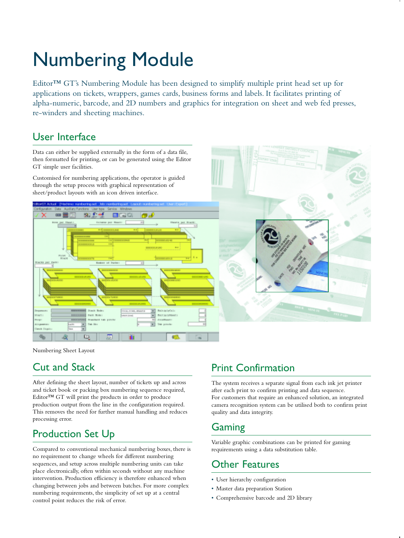# Numbering Module

Editor™ GT's Numbering Module has been designed to simplify multiple print head set up for applications on tickets, wrappers, games cards, business forms and labels. It facilitates printing of alpha-numeric, barcode, and 2D numbers and graphics for integration on sheet and web fed presses, re-winders and sheeting machines.

#### User Interface

Data can either be supplied externally in the form of a data file, then formatted for printing, or can be generated using the Editor GT simple user facilities.

Customised for numbering applications, the operator is guided through the setup process with graphical representation of sheet/product layouts with an icon driven interface.





Numbering Sheet Layout

## Cut and Stack

After defining the sheet layout, number of tickets up and across and ticket book or packing box numbering sequence required, Editor™ GT will print the products in order to produce production output from the line in the configuration required. This removes the need for further manual handling and reduces processing error.

## Production Set Up

Compared to conventional mechanical numbering boxes, there is no requirement to change wheels for different numbering sequences, and setup across multiple numbering units can take place electronically, often within seconds without any machine intervention. Production efficiency is therefore enhanced when changing between jobs and between batches. For more complex numbering requirements, the simplicity of set up at a central control point reduces the risk of error.

## Print Confirmation

The system receives a separate signal from each ink jet printer after each print to confirm printing and data sequence. For customers that require an enhanced solution, an integrated camera recognition system can be utilised both to confirm print quality and data integrity.

## Gaming

Variable graphic combinations can be printed for gaming requirements using a data substitution table.

## Other Features

- User hierarchy configuration
- Master data preparation Station
- Comprehensive barcode and 2D library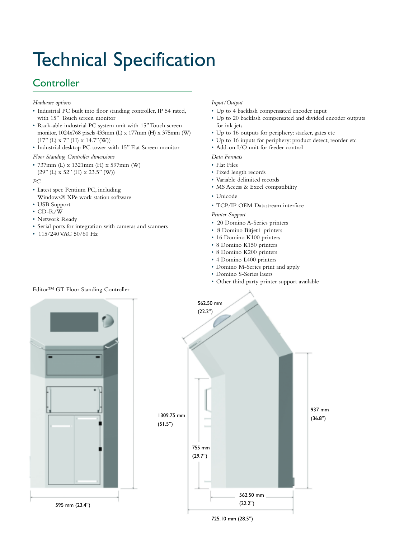# Technical Specification

## **Controller**

#### *Hardware options*

- Industrial PC built into floor standing controller, IP 54 rated, with 15" Touch screen monitor
- Rack-able industrial PC system unit with 15"Touch screen monitor, 1024x768 pixels 433mm (L) x 177mm (H) x 375mm (W) (17" (L) x 7" (H) x 14.7"(W))
- Industrial desktop PC tower with 15" Flat Screen monitor

*Floor Standing Controller dimensions*

• 737mm (L) x 1321mm (H) x 597mm (W) (29" (L) x 52" (H) x 23.5" (W))

*PC*

- Latest spec Pentium PC, including Windows® XPe work station software
- USB Support
- CD-R/W
- Network Ready
- Serial ports for integration with cameras and scanners
- 115/240 VAC 50/60 Hz

#### *Input/Output*

- Up to 4 backlash compensated encoder input
- Up to 20 backlash compensated and divided encoder outputs for ink jets
- Up to 16 outputs for periphery: stacker, gates etc
- Up to 16 inputs for periphery: product detect, reorder etc
- Add-on I/O unit for feeder control

*Data Formats*

- Flat Files
- Fixed length records
- Variable delimited records
- MS Access & Excel compatibility
- Unicode
- TCP/IP OEM Datastream interface

*Printer Support*

- 20 Domino A-Series printers
- 8 Domino Bitjet+ printers
- 16 Domino K100 printers
- 8 Domino K150 printers
- 8 Domino K200 printers
- 4 Domino L400 printers
- Domino M-Series print and apply
- Domino S-Series lasers
- Other third party printer support available





#### Editor™ GT Floor Standing Controller